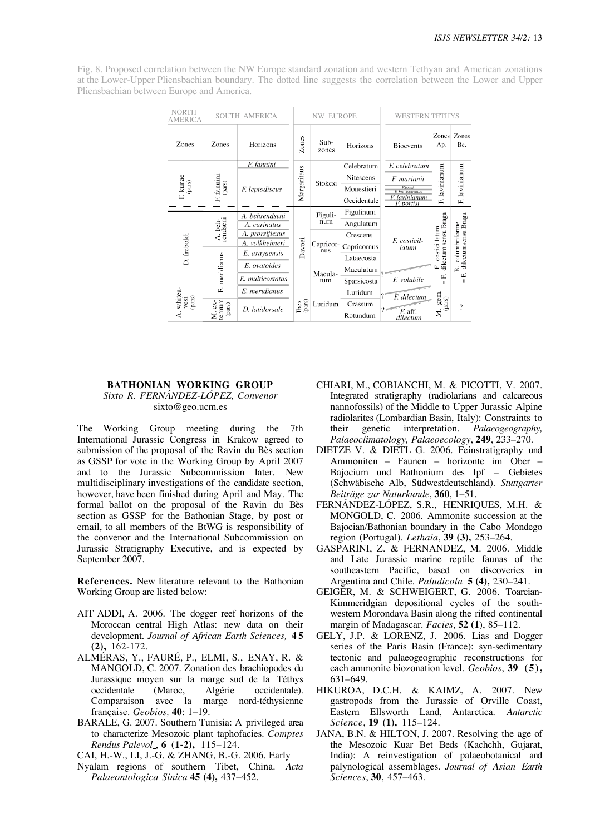Fig. 8. Proposed correlation between the NW Europe standard zonation and western Tethyan and American zonations at the Lower-Upper Pliensbachian boundary. The dotted line suggests the correlation between the Lower and Upper Pliensbachian between Europe and America.

| <b>NORTH</b><br>AMERICA   | <b>SOUTH AMERICA</b>       |                       | <b>NW EUROPE</b> |                  |                            | <b>WESTERN TETHYS</b>                                                                      |                                                                   |                                                |
|---------------------------|----------------------------|-----------------------|------------------|------------------|----------------------------|--------------------------------------------------------------------------------------------|-------------------------------------------------------------------|------------------------------------------------|
| Zones                     | Zones                      | Horizons              | Zones            | Sub-<br>zones    | Horizons                   | <b>Bioevents</b>                                                                           | Zones<br>Ap.                                                      | Zones<br>Be.                                   |
| F. kunae<br>(pars)        | F. fannini<br>(pars)       | F. fannini            | Margaritaus      | Stokesi          | Celebratum                 | F. celebratum<br>F. marianii<br>Eisseli<br>E. brevispiratum<br>F. lavinianum<br>F. portisi | F. lavinianum                                                     | F. lavinianum                                  |
|                           |                            | <i>F. leptodiscus</i> |                  |                  | Nitescens                  |                                                                                            |                                                                   |                                                |
|                           |                            |                       |                  |                  | Monestieri                 |                                                                                            |                                                                   |                                                |
|                           |                            |                       |                  |                  | Occidentale                |                                                                                            |                                                                   |                                                |
| D. freboldi               | A. beh-<br>rendseni        | A. behrendseni        | Davoei           | Figuli-<br>num   | Figulinum                  |                                                                                            |                                                                   |                                                |
|                           |                            | A. carinatus          |                  |                  | Angulatum                  | F. costicil-<br>latum<br>F. volubile                                                       | dilectum sensu Braga<br>costicillatum<br>E<br>ГĹ,<br>$\mathbf{I}$ | dilectumsensu Braga<br>columbriforme<br>ß<br>E |
|                           |                            | A. prorsiflexus       |                  | Capricor-<br>nus | Crescens                   |                                                                                            |                                                                   |                                                |
|                           |                            | A. volkheimeri        |                  |                  | Capricornus                |                                                                                            |                                                                   |                                                |
|                           | meridianus                 | E. arayaensis         |                  |                  | Lataecosta                 |                                                                                            |                                                                   |                                                |
|                           |                            | E. ovatoides          |                  | Macula-<br>tum   | Maculatum<br>$\mathcal{D}$ |                                                                                            |                                                                   |                                                |
|                           |                            | E. multicostatus      |                  |                  | Sparsicosta                |                                                                                            |                                                                   |                                                |
| whitea-<br>(pars)<br>vesi | ЕÓ                         | E. meridianus         |                  | Luridum          | Luridum                    | ?<br>F. dilectum                                                                           |                                                                   |                                                |
|                           | ternum<br>M. ex-<br>(pars) | D. latidorsale        | (pars)<br>Ibex   |                  | Crassum                    | F. aff.<br>dilectum                                                                        | l. gem.<br>(pars)<br>Σ.                                           | $\overline{\mathcal{L}}$                       |
|                           |                            |                       |                  |                  | Rotundum                   |                                                                                            |                                                                   |                                                |

## **BATHONIAN WORKING GROUP** *Sixto R. FERNÁNDEZ-LÓPEZ, Convenor* sixto@geo.ucm.es

The Working Group meeting during the 7th International Jurassic Congress in Krakow agreed to submission of the proposal of the Ravin du Bès section as GSSP for vote in the Working Group by April 2007 and to the Jurassic Subcommission later. New multidisciplinary investigations of the candidate section, however, have been finished during April and May. The formal ballot on the proposal of the Ravin du Bès section as GSSP for the Bathonian Stage, by post or email, to all members of the BtWG is responsibility of the convenor and the International Subcommission on Jurassic Stratigraphy Executive, and is expected by September 2007.

**References.** New literature relevant to the Bathonian Working Group are listed below:

- AIT ADDI, A. 2006. The dogger reef horizons of the Moroccan central High Atlas: new data on their development. *Journal of African Earth Sciences,* **4 5 (2),** 162-172.
- ALMÉRAS, Y., FAURÉ, P., ELMI, S., ENAY, R. & MANGOLD, C. 2007. Zonation des brachiopodes du Jurassique moyen sur la marge sud de la Téthys occidentale (Maroc, Algérie occidentale). Comparaison avec la marge nord-téthysienne française. *Geobios,* **40**: 1–19.
- BARALE, G. 2007. Southern Tunisia: A privileged area to characterize Mesozoic plant taphofacies. *Comptes Rendus Palevol* , **6 (1-2),** 115–124.
- CAI, H.-W., LI, J.-G. & ZHANG, B.-G. 2006. Early
- Nyalam regions of southern Tibet, China. *Acta Palaeontologica Sinica* **45 (4),** 437–452.
- CHIARI, M., COBIANCHI, M. & PICOTTI, V. 2007. Integrated stratigraphy (radiolarians and calcareous nannofossils) of the Middle to Upper Jurassic Alpine radiolarites (Lombardian Basin, Italy): Constraints to their genetic interpretation. *Palaeogeography, Palaeoclimatology, Palaeoecology*, **249**, 233–270.
- DIETZE V. & DIETL G. 2006. Feinstratigraphy und Ammoniten – Faunen – horizonte im Ober – Bajocium und Bathonium des Ipf – Gebietes (Schwäbische Alb, Südwestdeutschland). *Stuttgarter Beiträge zur Naturkunde*, **360**, 1–51.
- FERNÁNDEZ-LÓPEZ, S.R., HENRIQUES, M.H. & MONGOLD, C. 2006. Ammonite succession at the Bajocian/Bathonian boundary in the Cabo Mondego region (Portugal). *Lethaia*, **39 (3),** 253–264.
- GASPARINI, Z. & FERNANDEZ, M. 2006. Middle and Late Jurassic marine reptile faunas of the southeastern Pacific, based on discoveries in Argentina and Chile. *Paludicola* **5 (4),** 230–241.
- GEIGER, M. & SCHWEIGERT, G. 2006. Toarcian-Kimmeridgian depositional cycles of the southwestern Morondava Basin along the rifted continental margin of Madagascar. *Facies*, **52 (1**), 85–112.
- GELY, J.P. & LORENZ, J. 2006. Lias and Dogger series of the Paris Basin (France): syn-sedimentary tectonic and palaeogeographic reconstructions for each ammonite biozonation level. *Geobios*, **39 (5),** 631–649.
- HIKUROA, D.C.H. & KAIMZ, A. 2007. New gastropods from the Jurassic of Orville Coast, Eastern Ellsworth Land, Antarctica. *Antarctic Science*, **19 (1),** 115–124.
- JANA, B.N. & HILTON, J. 2007. Resolving the age of the Mesozoic Kuar Bet Beds (Kachchh, Gujarat, India): A reinvestigation of palaeobotanical and palynological assemblages. *Journal of Asian Earth Sciences*, **30**, 457–463.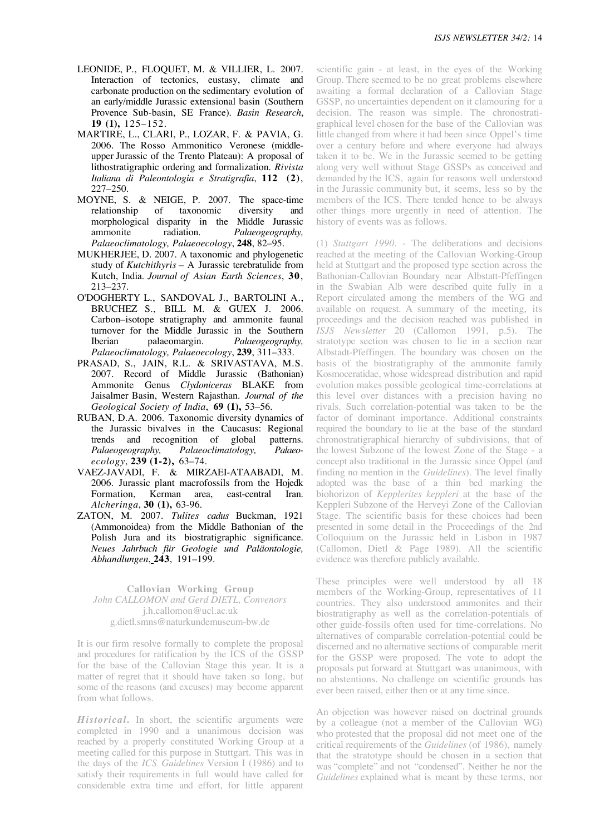- LEONIDE, P., FLOQUET, M. & VILLIER, L. 2007. Interaction of tectonics, eustasy, climate and carbonate production on the sedimentary evolution of an early/middle Jurassic extensional basin (Southern Provence Sub-basin, SE France). *Basin Research*, **19 (1),** 125–152.
- MARTIRE, L., CLARI, P., LOZAR, F. & PAVIA, G. 2006. The Rosso Ammonitico Veronese (middleupper Jurassic of the Trento Plateau): A proposal of lithostratigraphic ordering and formalization. *Rivista Italiana di Paleontologia e Stratigrafia*, **112 (2)**, 227–250.
- MOYNE, S. & NEIGE, P. 2007. The space-time relationship of taxonomic diversity and morphological disparity in the Middle Jurassic<br>ammonite radiation. Palaeogeography, radiation. *Palaeogeography*, *Palaeoclimatology, Palaeoecology*, **248**, 82–95.
- MUKHERJEE, D. 2007. A taxonomic and phylogenetic study of *Kutchithyris* – A Jurassic terebratulide from Kutch, India. *Journal of Asian Earth Sciences*, **30**, 213–237.
- O'DOGHERTY L., SANDOVAL J., BARTOLINI A., BRUCHEZ S., BILL M. & GUEX J. 2006. Carbon–isotope stratigraphy and ammonite faunal turnover for the Middle Jurassic in the Southern Iberian palaeomargin. *Palaeogeography, Palaeoclimatology, Palaeoecology*, **239**, 311–333.
- PRASAD, S., JAIN, R.L. & SRIVASTAVA, M.S. 2007. Record of Middle Jurassic (Bathonian) Ammonite Genus *Clydoniceras* BLAKE from Jaisalmer Basin, Western Rajasthan. *Journal of the Geological Society of India*, **69 (1),** 53–56.
- RUBAN, D.A. 2006. Taxonomic diversity dynamics of the Jurassic bivalves in the Caucasus: Regional trends and recognition of global patterns.<br>Palaeogeography, Palaeoclimatology, Palaeo-*Palaeogeography, Palaeoclimatology, Palaeoecology*, **239 (1-2),** 63–74.
- VAEZ-JAVADI, F. & MIRZAEI-ATAABADI, M. 2006. Jurassic plant macrofossils from the Hojedk Formation, Kerman area, east-central Iran. *Alcheringa*, **30 (1),** 63-96.
- ZATON, M. 2007. *Tulites cadus* Buckman, 1921 (Ammonoidea) from the Middle Bathonian of the Polish Jura and its biostratigraphic significance. *Neues Jahrbuch für Geologie und Paläontologie, Abhandlungen*, **243**, 191–199.

**Callovian Working Group** *John CALLOMON and Gerd DIETL, Convenors* j.h.callomon@ucl.ac.uk g.dietl.smns@naturkundemuseum-bw.de

It is our firm resolve formally to complete the proposal and procedures for ratification by the ICS of the GSSP for the base of the Callovian Stage this year. It is a matter of regret that it should have taken so long, but some of the reasons (and excuses) may become apparent from what follows.

*Historical***.** In short, the scientific arguments were completed in 1990 and a unanimous decision was reached by a properly constituted Working Group at a meeting called for this purpose in Stuttgart. This was in the days of the *ICS Guidelines* Version I (1986) and to satisfy their requirements in full would have called for considerable extra time and effort, for little apparent

scientific gain - at least, in the eyes of the Working Group. There seemed to be no great problems elsewhere awaiting a formal declaration of a Callovian Stage GSSP, no uncertainties dependent on it clamouring for a decision. The reason was simple. The chronostratigraphical level chosen for the base of the Callovian was little changed from where it had been since Oppel's time over a century before and where everyone had always taken it to be. We in the Jurassic seemed to be getting along very well without Stage GSSPs as conceived and demanded by the ICS, again for reasons well understood in the Jurassic community but, it seems, less so by the members of the ICS. There tended hence to be always other things more urgently in need of attention. The history of events was as follows.

(1) *Stuttgart 1990*. - The deliberations and decisions reached at the meeting of the Callovian Working-Group held at Stuttgart and the proposed type section across the Bathonian-Callovian Boundary near Albstatt-Pfeffingen in the Swabian Alb were described quite fully in a Report circulated among the members of the WG and available on request. A summary of the meeting, its proceedings and the decision reached was published in *ISJS Newsletter* 20 (Callomon 1991, p.5). The stratotype section was chosen to lie in a section near Albstadt-Pfeffingen. The boundary was chosen on the basis of the biostratigraphy of the ammonite family Kosmoceratidae, whose widespread distribution and rapid evolution makes possible geological time-correlations at this level over distances with a precision having no rivals. Such correlation-potential was taken to be the factor of dominant importance. Additional constraints required the boundary to lie at the base of the standard chronostratigraphical hierarchy of subdivisions, that of the lowest Subzone of the lowest Zone of the Stage - a concept also traditional in the Jurassic since Oppel (and finding no mention in the *Guidelines*). The level finally adopted was the base of a thin bed marking the biohorizon of *Kepplerites keppleri* at the base of the Keppleri Subzone of the Herveyi Zone of the Callovian Stage. The scientific basis for these choices had been presented in some detail in the Proceedings of the 2nd Colloquium on the Jurassic held in Lisbon in 1987 (Callomon, Dietl & Page 1989). All the scientific evidence was therefore publicly available.

These principles were well understood by all 18 members of the Working-Group, representatives of 11 countries. They also understood ammonites and their biostratigraphy as well as the correlation-potentials of other guide-fossils often used for time-correlations. No alternatives of comparable correlation-potential could be discerned and no alternative sections of comparable merit for the GSSP were proposed. The vote to adopt the proposals put forward at Stuttgart was unanimous, with no abstentions. No challenge on scientific grounds has ever been raised, either then or at any time since.

An objection was however raised on doctrinal grounds by a colleague (not a member of the Callovian WG) who protested that the proposal did not meet one of the critical requirements of the *Guidelines* (of 1986), namely that the stratotype should be chosen in a section that was "complete" and not "condensed". Neither he nor the *Guidelines* explained what is meant by these terms, nor